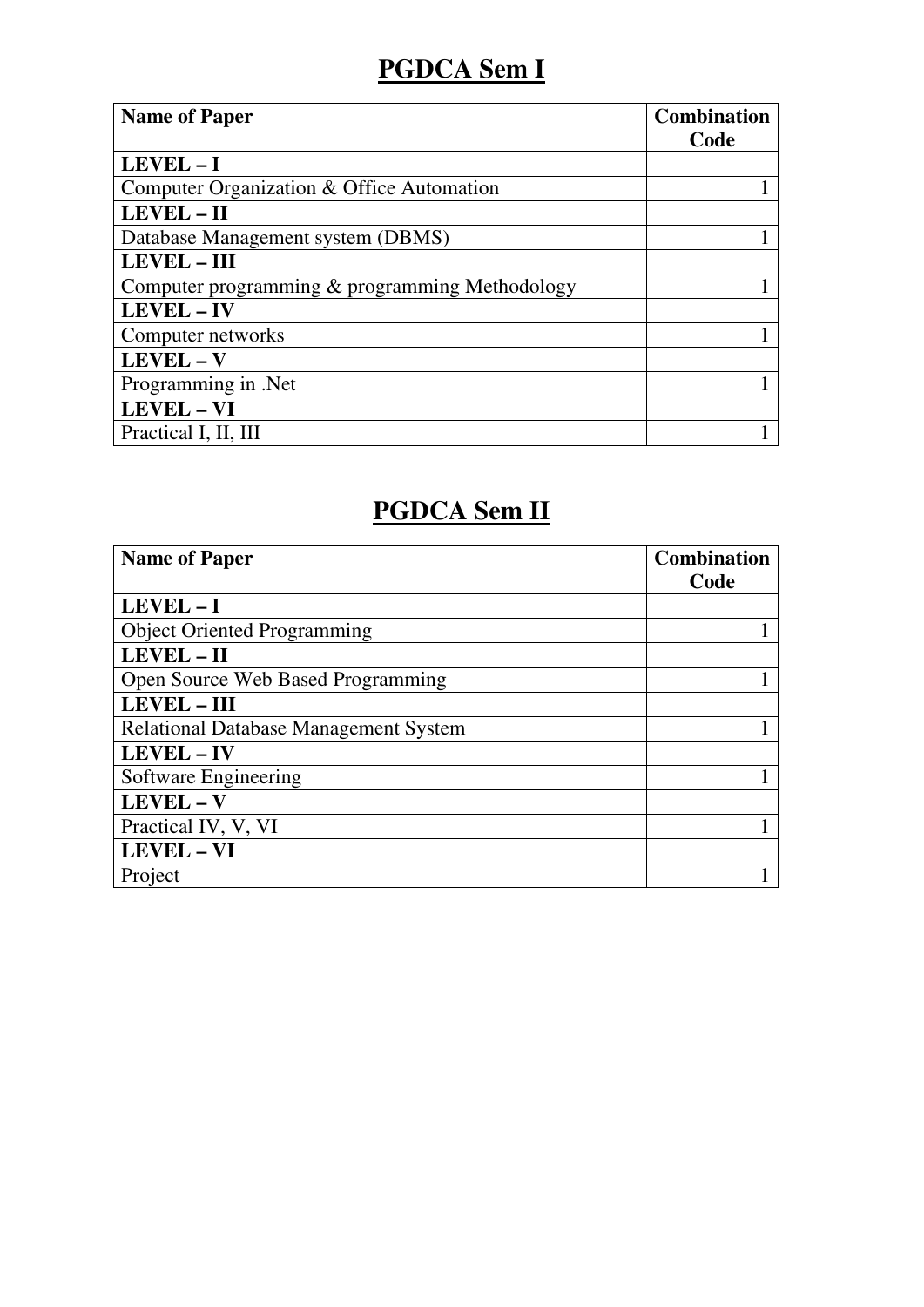## **PGDCA Sem I**

| <b>Name of Paper</b>                           | <b>Combination</b> |
|------------------------------------------------|--------------------|
|                                                | Code               |
| LEVEL-I                                        |                    |
| Computer Organization & Office Automation      |                    |
| LEVEL-II                                       |                    |
| Database Management system (DBMS)              |                    |
| LEVEL - III                                    |                    |
| Computer programming & programming Methodology |                    |
| LEVEL - IV                                     |                    |
| Computer networks                              |                    |
| LEVEL - V                                      |                    |
| Programming in .Net                            |                    |
| LEVEL - VI                                     |                    |
| Practical I, II, III                           |                    |

### **PGDCA Sem II**

| <b>Name of Paper</b>                         | <b>Combination</b> |
|----------------------------------------------|--------------------|
|                                              | Code               |
| LEVEL-I                                      |                    |
| <b>Object Oriented Programming</b>           |                    |
| LEVEL-II                                     |                    |
| Open Source Web Based Programming            |                    |
| <b>LEVEL - III</b>                           |                    |
| <b>Relational Database Management System</b> |                    |
| LEVEL - IV                                   |                    |
| Software Engineering                         |                    |
| LEVEL - V                                    |                    |
| Practical IV, V, VI                          |                    |
| LEVEL - VI                                   |                    |
| Project                                      |                    |